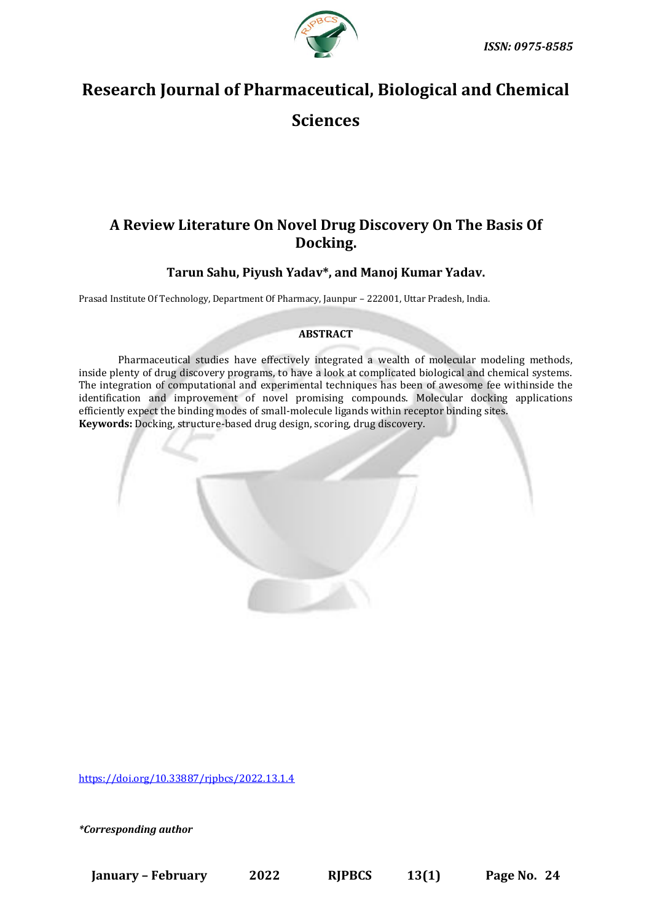

# **Research Journal of Pharmaceutical, Biological and Chemical**

# **Sciences**

## **A Review Literature On Novel Drug Discovery On The Basis Of Docking.**

### **Tarun Sahu, Piyush Yadav\*, and Manoj Kumar Yadav.**

Prasad Institute Of Technology, Department Of Pharmacy, Jaunpur – 222001, Uttar Pradesh, India.

### **ABSTRACT**

Pharmaceutical studies have effectively integrated a wealth of molecular modeling methods, inside plenty of drug discovery programs, to have a look at complicated biological and chemical systems. The integration of computational and experimental techniques has been of awesome fee withinside the identification and improvement of novel promising compounds. Molecular docking applications efficiently expect the binding modes of small-molecule ligands within receptor binding sites. **Keywords:** Docking, structure-based drug design, scoring, drug discovery.



<https://doi.org/10.33887/rjpbcs/2022.13.1.4>

*\*Corresponding author*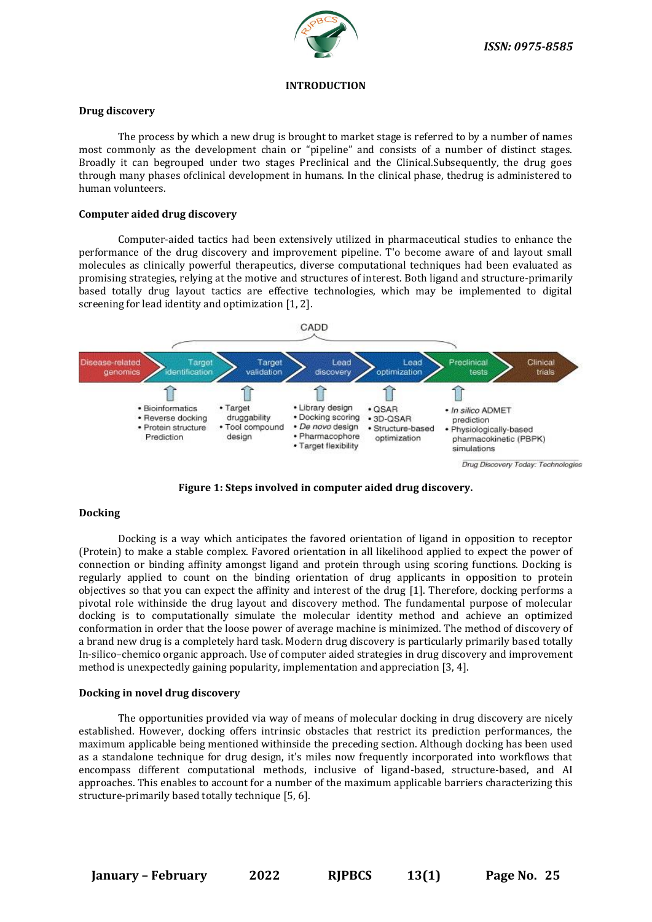

#### **INTRODUCTION**

#### **Drug discovery**

The process by which a new drug is brought to market stage is referred to by a number of names most commonly as the development chain or "pipeline" and consists of a number of distinct stages. Broadly it can begrouped under two stages Preclinical and the Clinical.Subsequently, the drug goes through many phases ofclinical development in humans. In the clinical phase, thedrug is administered to human volunteers.

#### **Computer aided drug discovery**

Computer-aided tactics had been extensively utilized in pharmaceutical studies to enhance the performance of the drug discovery and improvement pipeline. T'o become aware of and layout small molecules as clinically powerful therapeutics, diverse computational techniques had been evaluated as promising strategies, relying at the motive and structures of interest. Both ligand and structure-primarily based totally drug layout tactics are effective technologies, which may be implemented to digital screening for lead identity and optimization [1, 2].



**Figure 1: Steps involved in computer aided drug discovery.**

#### **Docking**

Docking is a way which anticipates the favored orientation of ligand in opposition to receptor (Protein) to make a stable complex. Favored orientation in all likelihood applied to expect the power of connection or binding affinity amongst ligand and protein through using scoring functions. Docking is regularly applied to count on the binding orientation of drug applicants in opposition to protein objectives so that you can expect the affinity and interest of the drug [1]. Therefore, docking performs a pivotal role withinside the drug layout and discovery method. The fundamental purpose of molecular docking is to computationally simulate the molecular identity method and achieve an optimized conformation in order that the loose power of average machine is minimized. The method of discovery of a brand new drug is a completely hard task. Modern drug discovery is particularly primarily based totally In-silico–chemico organic approach. Use of computer aided strategies in drug discovery and improvement method is unexpectedly gaining popularity, implementation and appreciation [3, 4].

#### **Docking in novel drug discovery**

The opportunities provided via way of means of molecular docking in drug discovery are nicely established. However, docking offers intrinsic obstacles that restrict its prediction performances, the maximum applicable being mentioned withinside the preceding section. Although docking has been used as a standalone technique for drug design, it's miles now frequently incorporated into workflows that encompass different computational methods, inclusive of ligand-based, structure-based, and AI approaches. This enables to account for a number of the maximum applicable barriers characterizing this structure-primarily based totally technique [5, 6].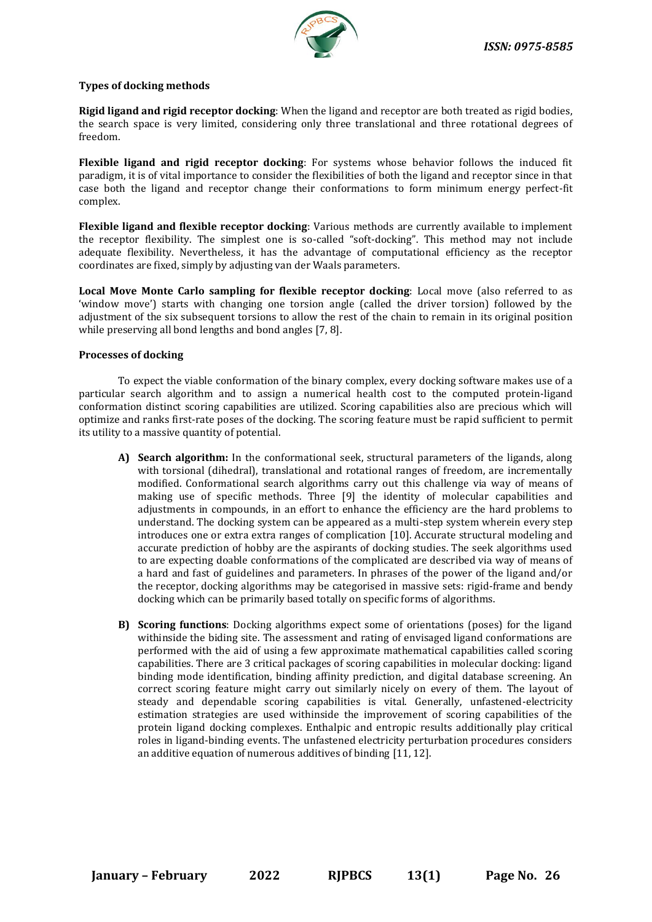

#### **Types of docking methods**

**Rigid ligand and rigid receptor docking**: When the ligand and receptor are both treated as rigid bodies, the search space is very limited, considering only three translational and three rotational degrees of freedom.

**Flexible ligand and rigid receptor docking**: For systems whose behavior follows the induced fit paradigm, it is of vital importance to consider the flexibilities of both the ligand and receptor since in that case both the ligand and receptor change their conformations to form minimum energy perfect-fit complex.

**Flexible ligand and flexible receptor docking**: Various methods are currently available to implement the receptor flexibility. The simplest one is so-called "soft-docking". This method may not include adequate flexibility. Nevertheless, it has the advantage of computational efficiency as the receptor coordinates are fixed, simply by adjusting van der Waals parameters.

**Local Move Monte Carlo sampling for flexible receptor docking**: Local move (also referred to as 'window move') starts with changing one torsion angle (called the driver torsion) followed by the adjustment of the six subsequent torsions to allow the rest of the chain to remain in its original position while preserving all bond lengths and bond angles [7, 8].

#### **Processes of docking**

To expect the viable conformation of the binary complex, every docking software makes use of a particular search algorithm and to assign a numerical health cost to the computed protein-ligand conformation distinct scoring capabilities are utilized. Scoring capabilities also are precious which will optimize and ranks first-rate poses of the docking. The scoring feature must be rapid sufficient to permit its utility to a massive quantity of potential.

- **A) Search algorithm:** In the conformational seek, structural parameters of the ligands, along with torsional (dihedral), translational and rotational ranges of freedom, are incrementally modified. Conformational search algorithms carry out this challenge via way of means of making use of specific methods. Three [9] the identity of molecular capabilities and adjustments in compounds, in an effort to enhance the efficiency are the hard problems to understand. The docking system can be appeared as a multi-step system wherein every step introduces one or extra extra ranges of complication [10]. Accurate structural modeling and accurate prediction of hobby are the aspirants of docking studies. The seek algorithms used to are expecting doable conformations of the complicated are described via way of means of a hard and fast of guidelines and parameters. In phrases of the power of the ligand and/or the receptor, docking algorithms may be categorised in massive sets: rigid-frame and bendy docking which can be primarily based totally on specific forms of algorithms.
- **B) Scoring functions**: Docking algorithms expect some of orientations (poses) for the ligand withinside the biding site. The assessment and rating of envisaged ligand conformations are performed with the aid of using a few approximate mathematical capabilities called scoring capabilities. There are 3 critical packages of scoring capabilities in molecular docking: ligand binding mode identification, binding affinity prediction, and digital database screening. An correct scoring feature might carry out similarly nicely on every of them. The layout of steady and dependable scoring capabilities is vital. Generally, unfastened-electricity estimation strategies are used withinside the improvement of scoring capabilities of the protein ligand docking complexes. Enthalpic and entropic results additionally play critical roles in ligand-binding events. The unfastened electricity perturbation procedures considers an additive equation of numerous additives of binding [11, 12].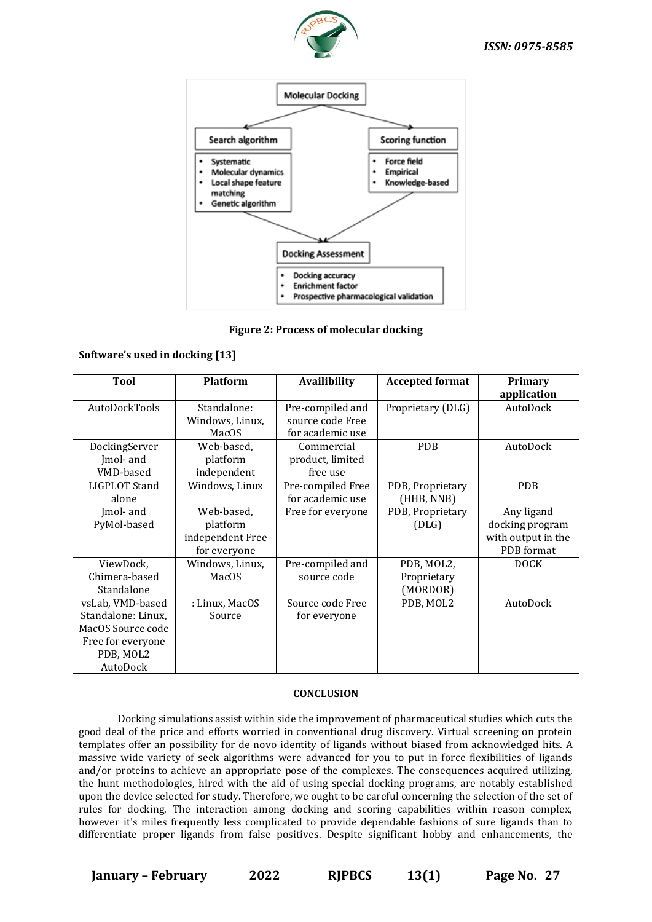



**Figure 2: Process of molecular docking**

#### **Software's used in docking [13]**

| <b>Tool</b>                                                                                               | <b>Platform</b>                                            | <b>Availibility</b>                                      | <b>Accepted format</b>                | Primary<br>application                                            |
|-----------------------------------------------------------------------------------------------------------|------------------------------------------------------------|----------------------------------------------------------|---------------------------------------|-------------------------------------------------------------------|
| AutoDockTools                                                                                             | Standalone:<br>Windows, Linux,<br>MacOS                    | Pre-compiled and<br>source code Free<br>for academic use | Proprietary (DLG)                     | AutoDock                                                          |
| DockingServer<br>Jmol- and<br>VMD-based                                                                   | Web-based,<br>platform<br>independent                      | Commercial<br>product, limited<br>free use               | <b>PDB</b>                            | AutoDock                                                          |
| LIGPLOT Stand<br>alone                                                                                    | Windows, Linux                                             | Pre-compiled Free<br>for academic use                    | PDB, Proprietary<br>(HHB, NNB)        | <b>PDB</b>                                                        |
| Imol- and<br>PyMol-based                                                                                  | Web-based,<br>platform<br>independent Free<br>for everyone | Free for everyone                                        | PDB, Proprietary<br>(DLG)             | Any ligand<br>docking program<br>with output in the<br>PDB format |
| ViewDock,<br>Chimera-based<br>Standalone                                                                  | Windows, Linux,<br>MacOS                                   | Pre-compiled and<br>source code                          | PDB, MOL2,<br>Proprietary<br>(MORDOR) | <b>DOCK</b>                                                       |
| vsLab, VMD-based<br>Standalone: Linux,<br>MacOS Source code<br>Free for everyone<br>PDB, MOL2<br>AutoDock | : Linux, MacOS<br>Source                                   | Source code Free<br>for everyone                         | PDB, MOL2                             | AutoDock                                                          |

#### **CONCLUSION**

Docking simulations assist within side the improvement of pharmaceutical studies which cuts the good deal of the price and efforts worried in conventional drug discovery. Virtual screening on protein templates offer an possibility for de novo identity of ligands without biased from acknowledged hits. A massive wide variety of seek algorithms were advanced for you to put in force flexibilities of ligands and/or proteins to achieve an appropriate pose of the complexes. The consequences acquired utilizing, the hunt methodologies, hired with the aid of using special docking programs, are notably established upon the device selected for study. Therefore, we ought to be careful concerning the selection of the set of rules for docking. The interaction among docking and scoring capabilities within reason complex, however it's miles frequently less complicated to provide dependable fashions of sure ligands than to differentiate proper ligands from false positives. Despite significant hobby and enhancements, the

**January – February 2022 RJPBCS 13(1) Page No. 27**